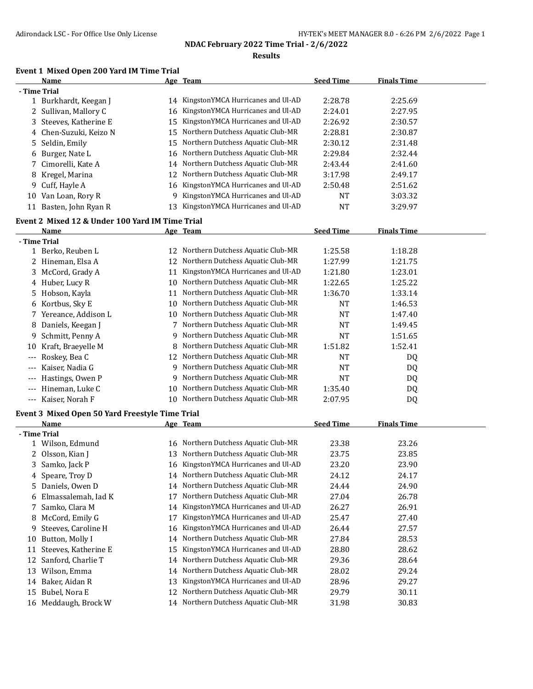**Results**

### **Event 1 Mixed Open 200 Yard IM Time Trial**

|                      | Name                                                    |    | Age Team                             | <b>Seed Time</b> | <b>Finals Time</b> |  |
|----------------------|---------------------------------------------------------|----|--------------------------------------|------------------|--------------------|--|
|                      | - Time Trial                                            |    |                                      |                  |                    |  |
|                      | 1 Burkhardt, Keegan J                                   |    | 14 KingstonYMCA Hurricanes and Ul-AD | 2:28.78          | 2:25.69            |  |
|                      | 2 Sullivan, Mallory C                                   | 16 | KingstonYMCA Hurricanes and Ul-AD    | 2:24.01          | 2:27.95            |  |
| 3                    | Steeves, Katherine E                                    | 15 | KingstonYMCA Hurricanes and Ul-AD    | 2:26.92          | 2:30.57            |  |
| 4                    | Chen-Suzuki, Keizo N                                    | 15 | Northern Dutchess Aquatic Club-MR    | 2:28.81          | 2:30.87            |  |
| 5                    | Seldin, Emily                                           | 15 | Northern Dutchess Aquatic Club-MR    | 2:30.12          | 2:31.48            |  |
| 6                    | Burger, Nate L                                          | 16 | Northern Dutchess Aquatic Club-MR    | 2:29.84          | 2:32.44            |  |
| 7                    | Cimorelli, Kate A                                       | 14 | Northern Dutchess Aquatic Club-MR    | 2:43.44          | 2:41.60            |  |
|                      | 8 Kregel, Marina                                        | 12 | Northern Dutchess Aquatic Club-MR    | 3:17.98          | 2:49.17            |  |
|                      | 9 Cuff, Hayle A                                         | 16 | KingstonYMCA Hurricanes and Ul-AD    | 2:50.48          | 2:51.62            |  |
|                      | 10 Van Loan, Rory R                                     | 9  | KingstonYMCA Hurricanes and Ul-AD    | <b>NT</b>        | 3:03.32            |  |
|                      | 11 Basten, John Ryan R                                  | 13 | KingstonYMCA Hurricanes and Ul-AD    | <b>NT</b>        | 3:29.97            |  |
|                      |                                                         |    |                                      |                  |                    |  |
|                      | Event 2 Mixed 12 & Under 100 Yard IM Time Trial         |    |                                      |                  |                    |  |
|                      | Name                                                    |    | Age Team                             | <b>Seed Time</b> | <b>Finals Time</b> |  |
|                      | - Time Trial                                            |    |                                      |                  |                    |  |
|                      | 1 Berko, Reuben L                                       |    | 12 Northern Dutchess Aquatic Club-MR | 1:25.58          | 1:18.28            |  |
|                      | 2 Hineman, Elsa A                                       | 12 | Northern Dutchess Aquatic Club-MR    | 1:27.99          | 1:21.75            |  |
|                      | 3 McCord, Grady A                                       | 11 | KingstonYMCA Hurricanes and Ul-AD    | 1:21.80          | 1:23.01            |  |
|                      | 4 Huber, Lucy R                                         |    | 10 Northern Dutchess Aquatic Club-MR | 1:22.65          | 1:25.22            |  |
|                      | 5 Hobson, Kayla                                         | 11 | Northern Dutchess Aquatic Club-MR    | 1:36.70          | 1:33.14            |  |
|                      | 6 Kortbus, Sky E                                        | 10 | Northern Dutchess Aquatic Club-MR    | <b>NT</b>        | 1:46.53            |  |
|                      | 7 Yereance, Addison L                                   | 10 | Northern Dutchess Aquatic Club-MR    | <b>NT</b>        | 1:47.40            |  |
| 8                    | Daniels, Keegan J                                       | 7  | Northern Dutchess Aquatic Club-MR    | <b>NT</b>        | 1:49.45            |  |
| 9.                   | Schmitt, Penny A                                        | 9  | Northern Dutchess Aquatic Club-MR    | <b>NT</b>        | 1:51.65            |  |
| 10                   | Kraft, Braeyelle M                                      | 8  | Northern Dutchess Aquatic Club-MR    | 1:51.82          | 1:52.41            |  |
|                      | Roskey, Bea C                                           | 12 | Northern Dutchess Aquatic Club-MR    | <b>NT</b>        | DQ                 |  |
|                      | Kaiser, Nadia G                                         | 9. | Northern Dutchess Aquatic Club-MR    | <b>NT</b>        | DQ                 |  |
|                      | Hastings, Owen P                                        | 9  | Northern Dutchess Aquatic Club-MR    | NT               | DQ                 |  |
| $---$                | Hineman, Luke C                                         | 10 | Northern Dutchess Aquatic Club-MR    | 1:35.40          | DQ                 |  |
| $\scriptstyle\cdots$ | Kaiser, Norah F                                         | 10 | Northern Dutchess Aquatic Club-MR    | 2:07.95          | DQ                 |  |
|                      |                                                         |    |                                      |                  |                    |  |
|                      | Event 3 Mixed Open 50 Yard Freestyle Time Trial<br>Name |    | Age Team                             | <b>Seed Time</b> | <b>Finals Time</b> |  |
|                      | - Time Trial                                            |    |                                      |                  |                    |  |
|                      | 1 Wilson, Edmund                                        |    | 16 Northern Dutchess Aquatic Club-MR | 23.38            | 23.26              |  |
|                      | 2 Olsson, Kian J                                        |    | 13 Northern Dutchess Aquatic Club-MR | 23.75            | 23.85              |  |
|                      | 3 Samko, Jack P                                         |    | 16 KingstonYMCA Hurricanes and Ul-AD | 23.20            | 23.90              |  |
|                      |                                                         |    | 14 Northern Dutchess Aquatic Club-MR |                  |                    |  |
|                      | 4 Speare, Troy D<br>5 Daniels, Owen D                   |    | Northern Dutchess Aquatic Club-MR    | 24.12            | 24.17<br>24.90     |  |
|                      |                                                         | 14 | Northern Dutchess Aquatic Club-MR    | 24.44            |                    |  |
|                      | 6 Elmassalemah, Iad K                                   | 17 |                                      | 27.04            | 26.78              |  |
| 7.                   | Samko, Clara M                                          | 14 | KingstonYMCA Hurricanes and Ul-AD    | 26.27            | 26.91              |  |
| 8                    | McCord, Emily G                                         | 17 | KingstonYMCA Hurricanes and Ul-AD    | 25.47            | 27.40              |  |
| 9                    | Steeves, Caroline H                                     | 16 | KingstonYMCA Hurricanes and Ul-AD    | 26.44            | 27.57              |  |
| 10                   | Button, Molly I                                         | 14 | Northern Dutchess Aquatic Club-MR    | 27.84            | 28.53              |  |
| 11                   | Steeves, Katherine E                                    | 15 | KingstonYMCA Hurricanes and Ul-AD    | 28.80            | 28.62              |  |
| 12                   | Sanford, Charlie T                                      | 14 | Northern Dutchess Aquatic Club-MR    | 29.36            | 28.64              |  |
| 13                   | Wilson, Emma                                            | 14 | Northern Dutchess Aquatic Club-MR    | 28.02            | 29.24              |  |
| 14                   | Baker, Aidan R                                          | 13 | KingstonYMCA Hurricanes and Ul-AD    | 28.96            | 29.27              |  |
|                      | 15 Bubel, Nora E                                        | 12 | Northern Dutchess Aquatic Club-MR    | 29.79            | 30.11              |  |
|                      | 16 Meddaugh, Brock W                                    | 14 | Northern Dutchess Aquatic Club-MR    | 31.98            | 30.83              |  |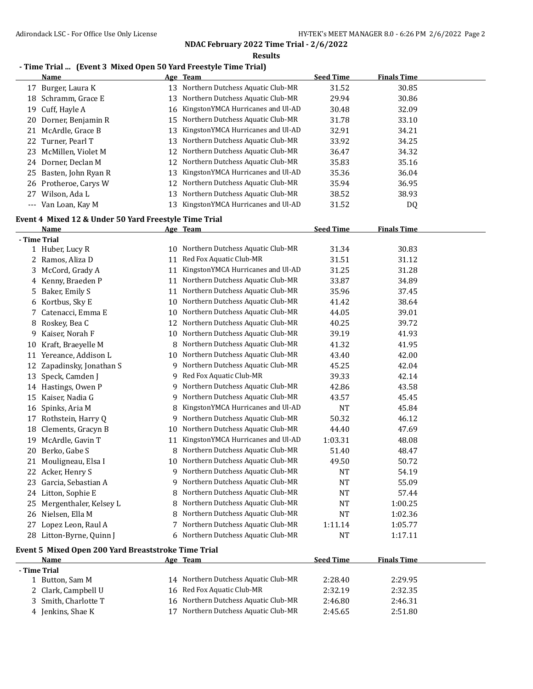**Results**

# **- Time Trial ... (Event 3 Mixed Open 50 Yard Freestyle Time Trial)**

|       | <b>Name</b>                                           |    | Age Team                             | <b>Seed Time</b> | <b>Finals Time</b> |  |
|-------|-------------------------------------------------------|----|--------------------------------------|------------------|--------------------|--|
| 17    | Burger, Laura K                                       | 13 | Northern Dutchess Aquatic Club-MR    | 31.52            | 30.85              |  |
| 18    | Schramm, Grace E                                      | 13 | Northern Dutchess Aquatic Club-MR    | 29.94            | 30.86              |  |
| 19    | Cuff, Hayle A                                         | 16 | KingstonYMCA Hurricanes and Ul-AD    | 30.48            | 32.09              |  |
| 20    | Dorner, Benjamin R                                    | 15 | Northern Dutchess Aquatic Club-MR    | 31.78            | 33.10              |  |
| 21    | McArdle, Grace B                                      | 13 | KingstonYMCA Hurricanes and Ul-AD    | 32.91            | 34.21              |  |
| 22    | Turner, Pearl T                                       | 13 | Northern Dutchess Aquatic Club-MR    | 33.92            | 34.25              |  |
| 23    | McMillen, Violet M                                    | 12 | Northern Dutchess Aquatic Club-MR    | 36.47            | 34.32              |  |
| 24    | Dorner, Declan M                                      | 12 | Northern Dutchess Aquatic Club-MR    | 35.83            | 35.16              |  |
| 25    | Basten, John Ryan R                                   | 13 | KingstonYMCA Hurricanes and Ul-AD    | 35.36            | 36.04              |  |
| 26    | Protheroe, Carys W                                    | 12 | Northern Dutchess Aquatic Club-MR    | 35.94            | 36.95              |  |
| 27    | Wilson, Ada L                                         | 13 | Northern Dutchess Aquatic Club-MR    | 38.52            | 38.93              |  |
| $---$ | Van Loan, Kay M                                       | 13 | KingstonYMCA Hurricanes and Ul-AD    | 31.52            | DQ                 |  |
|       | Event 4 Mixed 12 & Under 50 Yard Freestyle Time Trial |    |                                      |                  |                    |  |
|       | Name                                                  |    | Age Team                             | <b>Seed Time</b> | <b>Finals Time</b> |  |
|       | - Time Trial                                          |    |                                      |                  |                    |  |
|       | 1 Huber, Lucy R                                       | 10 | Northern Dutchess Aquatic Club-MR    | 31.34            | 30.83              |  |
| 2     | Ramos, Aliza D                                        | 11 | Red Fox Aquatic Club-MR              | 31.51            | 31.12              |  |
| 3.    | McCord, Grady A                                       | 11 | KingstonYMCA Hurricanes and Ul-AD    | 31.25            | 31.28              |  |
| 4     | Kenny, Braeden P                                      | 11 | Northern Dutchess Aquatic Club-MR    | 33.87            | 34.89              |  |
| 5.    | Baker, Emily S                                        | 11 | Northern Dutchess Aquatic Club-MR    | 35.96            | 37.45              |  |
| 6     | Kortbus, Sky E                                        | 10 | Northern Dutchess Aquatic Club-MR    | 41.42            | 38.64              |  |
| 7.    | Catenacci, Emma E                                     | 10 | Northern Dutchess Aquatic Club-MR    | 44.05            | 39.01              |  |
| 8     | Roskey, Bea C                                         | 12 | Northern Dutchess Aquatic Club-MR    | 40.25            | 39.72              |  |
| 9     | Kaiser, Norah F                                       | 10 | Northern Dutchess Aquatic Club-MR    | 39.19            | 41.93              |  |
| 10    | Kraft, Braeyelle M                                    | 8  | Northern Dutchess Aquatic Club-MR    | 41.32            | 41.95              |  |
|       | 11 Varaanca Addison I                                 |    | 10 Northern Dutchess Aquatic Club-MR | 4.3A             | 42.OO              |  |

| 10. | - Kraft, Braeyelle M      |    | NOPUTEPH DUTCHESS AQUALIC CHID-MR | 41.32     | 41.95   |  |
|-----|---------------------------|----|-----------------------------------|-----------|---------|--|
| 11  | Yereance, Addison L       | 10 | Northern Dutchess Aquatic Club-MR | 43.40     | 42.00   |  |
|     | Zapadinsky, Jonathan S    | 9  | Northern Dutchess Aquatic Club-MR | 45.25     | 42.04   |  |
| 13  | Speck, Camden J           | 9  | Red Fox Aquatic Club-MR           | 39.33     | 42.14   |  |
| 14  | Hastings, Owen P          | 9  | Northern Dutchess Aquatic Club-MR | 42.86     | 43.58   |  |
| 15  | Kaiser, Nadia G           | 9. | Northern Dutchess Aquatic Club-MR | 43.57     | 45.45   |  |
| 16  | Spinks, Aria M            |    | KingstonYMCA Hurricanes and Ul-AD | <b>NT</b> | 45.84   |  |
| 17  | Rothstein, Harry Q        | 9  | Northern Dutchess Aquatic Club-MR | 50.32     | 46.12   |  |
|     | 18 Clements, Gracyn B     | 10 | Northern Dutchess Aquatic Club-MR | 44.40     | 47.69   |  |
| 19  | McArdle, Gavin T          | 11 | KingstonYMCA Hurricanes and Ul-AD | 1:03.31   | 48.08   |  |
| 20. | Berko, Gabe S             | 8  | Northern Dutchess Aquatic Club-MR | 51.40     | 48.47   |  |
| 21  | Mouligneau, Elsa I        | 10 | Northern Dutchess Aquatic Club-MR | 49.50     | 50.72   |  |
|     | 22 Acker, Henry S         | 9  | Northern Dutchess Aquatic Club-MR | <b>NT</b> | 54.19   |  |
| 23. | Garcia, Sebastian A       | 9  | Northern Dutchess Aquatic Club-MR | <b>NT</b> | 55.09   |  |
|     | 24 Litton, Sophie E       |    | Northern Dutchess Aquatic Club-MR | <b>NT</b> | 57.44   |  |
|     | 25 Mergenthaler, Kelsey L | 8  | Northern Dutchess Aquatic Club-MR | NT        | 1:00.25 |  |
|     | 26 Nielsen, Ella M        | 8  | Northern Dutchess Aquatic Club-MR | NT        | 1:02.36 |  |
|     | 27 Lopez Leon, Raul A     |    | Northern Dutchess Aquatic Club-MR | 1:11.14   | 1:05.77 |  |
|     | 28 Litton-Byrne, Quinn J  | 6  | Northern Dutchess Aquatic Club-MR | NT        | 1:17.11 |  |

#### **Event 5 Mixed Open 200 Yard Breaststroke Time Trial**

| <b>Name</b>          | Age Team                             | <b>Seed Time</b> | <b>Finals Time</b> |  |  |
|----------------------|--------------------------------------|------------------|--------------------|--|--|
| - Time Trial         |                                      |                  |                    |  |  |
| 1 Button, Sam M      | 14 Northern Dutchess Aquatic Club-MR | 2:28.40          | 2:29.95            |  |  |
| 2 Clark, Campbell U  | 16 Red Fox Aquatic Club-MR           | 2:32.19          | 2:32.35            |  |  |
| 3 Smith. Charlotte T | 16 Northern Dutchess Aquatic Club-MR | 2:46.80          | 2:46.31            |  |  |
| 4 Jenkins, Shae K    | Northern Dutchess Aquatic Club-MR    | 2:45.65          | 2:51.80            |  |  |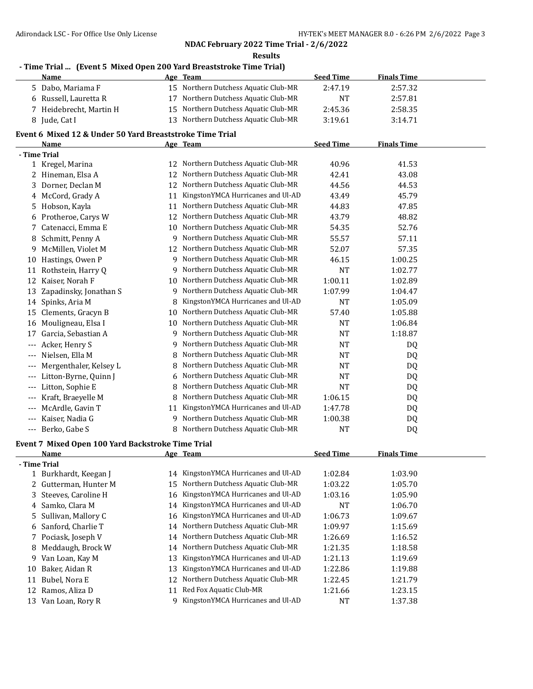**Results**

# **- Time Trial ... (Event 5 Mixed Open 200 Yard Breaststroke Time Trial)**

|              | <b>Name</b>                                              |    | Age Team                             | <b>Seed Time</b> | <b>Finals Time</b> |  |
|--------------|----------------------------------------------------------|----|--------------------------------------|------------------|--------------------|--|
| 5            | Dabo, Mariama F                                          | 15 | Northern Dutchess Aquatic Club-MR    | 2:47.19          | 2:57.32            |  |
| 6            | Russell, Lauretta R                                      | 17 | Northern Dutchess Aquatic Club-MR    | <b>NT</b>        | 2:57.81            |  |
|              | Heidebrecht, Martin H                                    | 15 | Northern Dutchess Aquatic Club-MR    | 2:45.36          | 2:58.35            |  |
| 8            | Jude, Cat I                                              | 13 | Northern Dutchess Aquatic Club-MR    | 3:19.61          | 3:14.71            |  |
|              | Event 6 Mixed 12 & Under 50 Yard Breaststroke Time Trial |    |                                      |                  |                    |  |
|              | Name                                                     |    | Age Team                             | <b>Seed Time</b> | <b>Finals Time</b> |  |
| - Time Trial |                                                          |    |                                      |                  |                    |  |
|              | 1 Kregel, Marina                                         | 12 | Northern Dutchess Aquatic Club-MR    | 40.96            | 41.53              |  |
|              | 2 Hineman, Elsa A                                        | 12 | Northern Dutchess Aquatic Club-MR    | 42.41            | 43.08              |  |
|              | 3 Dorner, Declan M                                       | 12 | Northern Dutchess Aquatic Club-MR    | 44.56            | 44.53              |  |
| 4            | McCord, Grady A                                          | 11 | KingstonYMCA Hurricanes and Ul-AD    | 43.49            | 45.79              |  |
| 5            | Hobson, Kayla                                            | 11 | Northern Dutchess Aquatic Club-MR    | 44.83            | 47.85              |  |
| 6            | Protheroe, Carys W                                       | 12 | Northern Dutchess Aquatic Club-MR    | 43.79            | 48.82              |  |
| 7            | Catenacci, Emma E                                        | 10 | Northern Dutchess Aquatic Club-MR    | 54.35            | 52.76              |  |
| 8            | Schmitt, Penny A                                         | 9  | Northern Dutchess Aquatic Club-MR    | 55.57            | 57.11              |  |
| 9            | McMillen, Violet M                                       | 12 | Northern Dutchess Aquatic Club-MR    | 52.07            | 57.35              |  |
| 10           | Hastings, Owen P                                         | 9  | Northern Dutchess Aquatic Club-MR    | 46.15            | 1:00.25            |  |
| 11           | Rothstein, Harry Q                                       | 9  | Northern Dutchess Aquatic Club-MR    | <b>NT</b>        | 1:02.77            |  |
| 12           | Kaiser, Norah F                                          | 10 | Northern Dutchess Aquatic Club-MR    | 1:00.11          | 1:02.89            |  |
| 13           | Zapadinsky, Jonathan S                                   | 9  | Northern Dutchess Aquatic Club-MR    | 1:07.99          | 1:04.47            |  |
| 14           | Spinks, Aria M                                           | 8  | KingstonYMCA Hurricanes and Ul-AD    | <b>NT</b>        | 1:05.09            |  |
| 15           | Clements, Gracyn B                                       | 10 | Northern Dutchess Aquatic Club-MR    | 57.40            | 1:05.88            |  |
| 16           | Mouligneau, Elsa I                                       | 10 | Northern Dutchess Aquatic Club-MR    | <b>NT</b>        | 1:06.84            |  |
| 17           | Garcia, Sebastian A                                      | 9  | Northern Dutchess Aquatic Club-MR    | <b>NT</b>        | 1:18.87            |  |
| $---$        | Acker, Henry S                                           | 9  | Northern Dutchess Aquatic Club-MR    | <b>NT</b>        | DQ                 |  |
| $---$        | Nielsen, Ella M                                          | 8  | Northern Dutchess Aquatic Club-MR    | <b>NT</b>        | DQ                 |  |
|              | Mergenthaler, Kelsey L                                   | 8  | Northern Dutchess Aquatic Club-MR    | <b>NT</b>        | DQ                 |  |
|              | Litton-Byrne, Quinn J                                    | 6  | Northern Dutchess Aquatic Club-MR    | <b>NT</b>        | DQ                 |  |
|              | Litton, Sophie E                                         | 8  | Northern Dutchess Aquatic Club-MR    | <b>NT</b>        | DQ                 |  |
|              | Kraft, Braeyelle M                                       | 8  | Northern Dutchess Aquatic Club-MR    | 1:06.15          | DQ                 |  |
|              | McArdle, Gavin T                                         | 11 | KingstonYMCA Hurricanes and Ul-AD    | 1:47.78          | DQ                 |  |
|              | Kaiser, Nadia G                                          | 9  | Northern Dutchess Aquatic Club-MR    | 1:00.38          | DQ                 |  |
| $\cdots$     | Berko, Gabe S                                            |    | 8 Northern Dutchess Aquatic Club-MR  | <b>NT</b>        | DQ                 |  |
|              | Event 7 Mixed Open 100 Yard Backstroke Time Trial        |    |                                      |                  |                    |  |
|              | Name                                                     |    | Age Team                             | <b>Seed Time</b> | <b>Finals Time</b> |  |
| - Time Trial |                                                          |    |                                      |                  |                    |  |
|              | 1 Burkhardt, Keegan J                                    |    | 14 KingstonYMCA Hurricanes and Ul-AD | 1:02.84          | 1:03.90            |  |
| 2            | Gutterman, Hunter M                                      | 15 | Northern Dutchess Aquatic Club-MR    | 1:03.22          | 1:05.70            |  |
| 3            | Steeves, Caroline H                                      | 16 | KingstonYMCA Hurricanes and Ul-AD    | 1:03.16          | 1:05.90            |  |
| 4            | Samko, Clara M                                           | 14 | KingstonYMCA Hurricanes and Ul-AD    | NT               | 1:06.70            |  |
| 5            | Sullivan, Mallory C                                      | 16 | KingstonYMCA Hurricanes and Ul-AD    | 1:06.73          | 1:09.67            |  |
| 6            | Sanford, Charlie T                                       | 14 | Northern Dutchess Aquatic Club-MR    | 1:09.97          | 1:15.69            |  |
| 7            | Pociask, Joseph V                                        | 14 | Northern Dutchess Aquatic Club-MR    | 1:26.69          | 1:16.52            |  |
| 8            | Meddaugh, Brock W                                        | 14 | Northern Dutchess Aquatic Club-MR    | 1:21.35          | 1:18.58            |  |
| 9            | Van Loan, Kay M                                          | 13 | KingstonYMCA Hurricanes and Ul-AD    | 1:21.13          | 1:19.69            |  |
| 10           | Baker, Aidan R                                           | 13 | KingstonYMCA Hurricanes and Ul-AD    | 1:22.86          | 1:19.88            |  |
| 11           | Bubel, Nora E                                            | 12 | Northern Dutchess Aquatic Club-MR    | 1:22.45          | 1:21.79            |  |
|              | 12 Ramos, Aliza D                                        | 11 | Red Fox Aquatic Club-MR              | 1:21.66          | 1:23.15            |  |
|              | 13 Van Loan, Rory R                                      |    | 9 KingstonYMCA Hurricanes and Ul-AD  | <b>NT</b>        | 1:37.38            |  |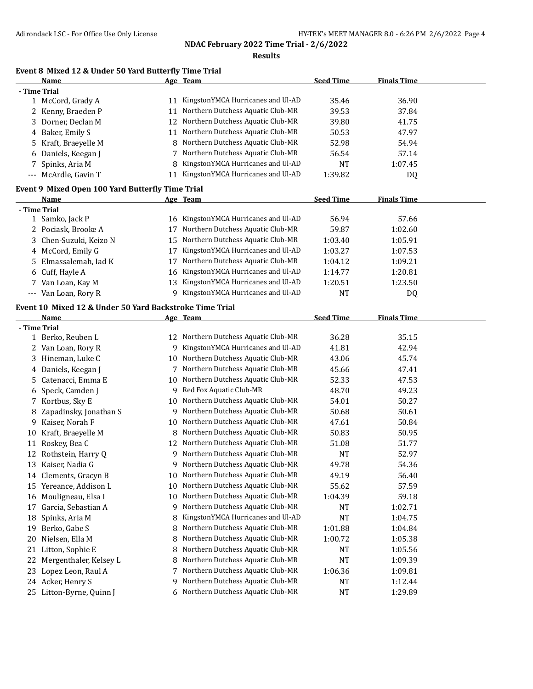**Results**

# **Event 8 Mixed 12 & Under 50 Yard Butterfly Time Trial**

|                                                  | Name                 |    | Age Team                          | <b>Seed Time</b> | <b>Finals Time</b> |  |
|--------------------------------------------------|----------------------|----|-----------------------------------|------------------|--------------------|--|
|                                                  | - Time Trial         |    |                                   |                  |                    |  |
|                                                  | 1 McCord, Grady A    | 11 | KingstonYMCA Hurricanes and Ul-AD | 35.46            | 36.90              |  |
|                                                  | 2 Kenny, Braeden P   | 11 | Northern Dutchess Aquatic Club-MR | 39.53            | 37.84              |  |
| 3.                                               | Dorner, Declan M     | 12 | Northern Dutchess Aquatic Club-MR | 39.80            | 41.75              |  |
| 4                                                | Baker, Emily S       | 11 | Northern Dutchess Aquatic Club-MR | 50.53            | 47.97              |  |
| 5.                                               | Kraft, Braeyelle M   |    | Northern Dutchess Aquatic Club-MR | 52.98            | 54.94              |  |
| 6                                                | Daniels, Keegan J    |    | Northern Dutchess Aquatic Club-MR | 56.54            | 57.14              |  |
|                                                  | Spinks, Aria M       |    | KingstonYMCA Hurricanes and Ul-AD | <b>NT</b>        | 1:07.45            |  |
| $\cdots$                                         | McArdle, Gavin T     | 11 | KingstonYMCA Hurricanes and Ul-AD | 1:39.82          | DQ                 |  |
| Event 9 Mixed Open 100 Yard Butterfly Time Trial |                      |    |                                   |                  |                    |  |
|                                                  |                      |    |                                   |                  |                    |  |
|                                                  | Name                 |    | Age Team                          | <b>Seed Time</b> | <b>Finals Time</b> |  |
|                                                  | - Time Trial         |    |                                   |                  |                    |  |
|                                                  | 1 Samko, Jack P      | 16 | KingstonYMCA Hurricanes and Ul-AD | 56.94            | 57.66              |  |
|                                                  | Pociask, Brooke A    | 17 | Northern Dutchess Aquatic Club-MR | 59.87            | 1:02.60            |  |
| 3                                                | Chen-Suzuki, Keizo N | 15 | Northern Dutchess Aquatic Club-MR | 1:03.40          | 1:05.91            |  |
| 4                                                | McCord, Emily G      |    | KingstonYMCA Hurricanes and Ul-AD | 1:03.27          | 1:07.53            |  |
| 5.                                               | Elmassalemah, Iad K  | 17 | Northern Dutchess Aquatic Club-MR | 1:04.12          | 1:09.21            |  |
| 6                                                | Cuff, Hayle A        | 16 | KingstonYMCA Hurricanes and Ul-AD | 1:14.77          | 1:20.81            |  |
|                                                  | Van Loan, Kay M      | 13 | KingstonYMCA Hurricanes and Ul-AD | 1:20.51          | 1:23.50            |  |
| $---$                                            | Van Loan, Rory R     | 9  | KingstonYMCA Hurricanes and Ul-AD | NT               | DQ                 |  |

# **Event 10 Mixed 12 & Under 50 Yard Backstroke Time Trial**

|              | <b>Name</b>            |    | Age Team                          | <b>Seed Time</b> | <b>Finals Time</b> |  |
|--------------|------------------------|----|-----------------------------------|------------------|--------------------|--|
| - Time Trial |                        |    |                                   |                  |                    |  |
|              | 1 Berko, Reuben L      | 12 | Northern Dutchess Aquatic Club-MR | 36.28            | 35.15              |  |
| 2            | Van Loan, Rory R       | 9  | KingstonYMCA Hurricanes and Ul-AD | 41.81            | 42.94              |  |
| 3            | Hineman, Luke C        | 10 | Northern Dutchess Aquatic Club-MR | 43.06            | 45.74              |  |
|              | 4 Daniels, Keegan J    | 7  | Northern Dutchess Aquatic Club-MR | 45.66            | 47.41              |  |
| 5.           | Catenacci, Emma E      | 10 | Northern Dutchess Aquatic Club-MR | 52.33            | 47.53              |  |
| 6            | Speck, Camden J        | 9  | Red Fox Aquatic Club-MR           | 48.70            | 49.23              |  |
| 7            | Kortbus, Sky E         | 10 | Northern Dutchess Aquatic Club-MR | 54.01            | 50.27              |  |
| 8            | Zapadinsky, Jonathan S | 9  | Northern Dutchess Aquatic Club-MR | 50.68            | 50.61              |  |
| 9            | Kaiser, Norah F        | 10 | Northern Dutchess Aquatic Club-MR | 47.61            | 50.84              |  |
| 10           | Kraft, Braevelle M     | 8  | Northern Dutchess Aquatic Club-MR | 50.83            | 50.95              |  |
| 11           | Roskey, Bea C          | 12 | Northern Dutchess Aquatic Club-MR | 51.08            | 51.77              |  |
| 12           | Rothstein, Harry Q     | q  | Northern Dutchess Aquatic Club-MR | <b>NT</b>        | 52.97              |  |
| 13           | Kaiser, Nadia G        | 9  | Northern Dutchess Aquatic Club-MR | 49.78            | 54.36              |  |
| 14           | Clements, Gracyn B     | 10 | Northern Dutchess Aquatic Club-MR | 49.19            | 56.40              |  |
| 15           | Yereance, Addison L    | 10 | Northern Dutchess Aquatic Club-MR | 55.62            | 57.59              |  |
| 16           | Mouligneau, Elsa I     | 10 | Northern Dutchess Aquatic Club-MR | 1:04.39          | 59.18              |  |
| 17           | Garcia, Sebastian A    | 9  | Northern Dutchess Aquatic Club-MR | NT               | 1:02.71            |  |
| 18           | Spinks, Aria M         | 8  | KingstonYMCA Hurricanes and Ul-AD | <b>NT</b>        | 1:04.75            |  |
| 19           | Berko, Gabe S          | 8  | Northern Dutchess Aquatic Club-MR | 1:01.88          | 1:04.84            |  |
| 20           | Nielsen, Ella M        | 8  | Northern Dutchess Aquatic Club-MR | 1:00.72          | 1:05.38            |  |
| 21           | Litton, Sophie E       | 8  | Northern Dutchess Aquatic Club-MR | <b>NT</b>        | 1:05.56            |  |
| 22           | Mergenthaler, Kelsey L | 8  | Northern Dutchess Aquatic Club-MR | <b>NT</b>        | 1:09.39            |  |
| 23           | Lopez Leon, Raul A     |    | Northern Dutchess Aquatic Club-MR | 1:06.36          | 1:09.81            |  |
|              | 24 Acker, Henry S      | 9  | Northern Dutchess Aquatic Club-MR | <b>NT</b>        | 1:12.44            |  |
| 25           | Litton-Byrne, Quinn J  | 6  | Northern Dutchess Aquatic Club-MR | NT               | 1:29.89            |  |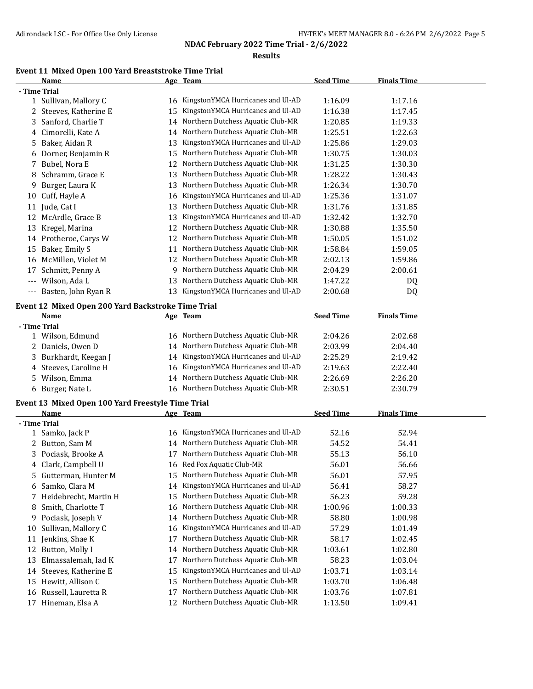#### **Results**

# **Event 11 Mixed Open 100 Yard Breaststroke Time Trial**

|       | Name                                               |    | Age Team                             | <b>Seed Time</b> | <b>Finals Time</b> |  |
|-------|----------------------------------------------------|----|--------------------------------------|------------------|--------------------|--|
|       | - Time Trial                                       |    |                                      |                  |                    |  |
|       | 1 Sullivan, Mallory C                              |    | 16 KingstonYMCA Hurricanes and Ul-AD | 1:16.09          | 1:17.16            |  |
|       | 2 Steeves, Katherine E                             | 15 | KingstonYMCA Hurricanes and Ul-AD    | 1:16.38          | 1:17.45            |  |
| 3     | Sanford, Charlie T                                 | 14 | Northern Dutchess Aquatic Club-MR    | 1:20.85          | 1:19.33            |  |
| 4     | Cimorelli, Kate A                                  |    | 14 Northern Dutchess Aquatic Club-MR | 1:25.51          | 1:22.63            |  |
| 5.    | Baker, Aidan R                                     | 13 | KingstonYMCA Hurricanes and Ul-AD    | 1:25.86          | 1:29.03            |  |
| 6     | Dorner, Benjamin R                                 | 15 | Northern Dutchess Aquatic Club-MR    | 1:30.75          | 1:30.03            |  |
|       | 7 Bubel, Nora E                                    | 12 | Northern Dutchess Aquatic Club-MR    | 1:31.25          | 1:30.30            |  |
| 8     | Schramm, Grace E                                   | 13 | Northern Dutchess Aquatic Club-MR    | 1:28.22          | 1:30.43            |  |
| 9.    | Burger, Laura K                                    | 13 | Northern Dutchess Aquatic Club-MR    | 1:26.34          | 1:30.70            |  |
| 10    | Cuff, Hayle A                                      | 16 | KingstonYMCA Hurricanes and Ul-AD    | 1:25.36          | 1:31.07            |  |
| 11    | Jude, Cat I                                        | 13 | Northern Dutchess Aquatic Club-MR    | 1:31.76          | 1:31.85            |  |
| 12    | McArdle, Grace B                                   | 13 | KingstonYMCA Hurricanes and Ul-AD    | 1:32.42          | 1:32.70            |  |
| 13    | Kregel, Marina                                     | 12 | Northern Dutchess Aquatic Club-MR    | 1:30.88          | 1:35.50            |  |
|       | 14 Protheroe, Carys W                              | 12 | Northern Dutchess Aquatic Club-MR    | 1:50.05          | 1:51.02            |  |
| 15    | Baker, Emily S                                     | 11 | Northern Dutchess Aquatic Club-MR    | 1:58.84          | 1:59.05            |  |
|       | 16 McMillen, Violet M                              | 12 | Northern Dutchess Aquatic Club-MR    | 2:02.13          | 1:59.86            |  |
| 17    | Schmitt, Penny A                                   | 9  | Northern Dutchess Aquatic Club-MR    | 2:04.29          | 2:00.61            |  |
| $---$ | Wilson, Ada L                                      | 13 | Northern Dutchess Aquatic Club-MR    | 1:47.22          | DQ                 |  |
| $---$ | Basten, John Ryan R                                | 13 | KingstonYMCA Hurricanes and Ul-AD    | 2:00.68          | DQ                 |  |
|       |                                                    |    |                                      |                  |                    |  |
|       | Event 12 Mixed Open 200 Yard Backstroke Time Trial |    |                                      |                  |                    |  |
|       | Name                                               |    | Age Team                             | <b>Seed Time</b> | <b>Finals Time</b> |  |
|       | - Time Trial                                       |    |                                      |                  |                    |  |
|       | 1 Wilson, Edmund                                   |    | 16 Northern Dutchess Aquatic Club-MR | 2:04.26          | 2:02.68            |  |
|       | 2 Daniels, Owen D                                  |    | 14 Northern Dutchess Aquatic Club-MR | 2:03.99          | 2:04.40            |  |
| 3     | Burkhardt, Keegan J                                |    | 14 KingstonYMCA Hurricanes and Ul-AD | 2:25.29          | 2:19.42            |  |
|       | 4 Steeves, Caroline H                              | 16 | KingstonYMCA Hurricanes and Ul-AD    | 2:19.63          | 2:22.40            |  |
|       | 5 Wilson, Emma                                     |    | 14 Northern Dutchess Aquatic Club-MR | 2:26.69          | 2:26.20            |  |
|       | 6 Burger, Nate L                                   |    | 16 Northern Dutchess Aquatic Club-MR | 2:30.51          | 2:30.79            |  |
|       | Event 13 Mixed Open 100 Yard Freestyle Time Trial  |    |                                      |                  |                    |  |
|       | Name                                               |    | Age Team                             | <b>Seed Time</b> | <b>Finals Time</b> |  |
|       | - Time Trial                                       |    |                                      |                  |                    |  |
|       | 1 Samko, Jack P                                    | 16 | KingstonYMCA Hurricanes and Ul-AD    | 52.16            | 52.94              |  |
|       | 2 Button, Sam M                                    | 14 | Northern Dutchess Aquatic Club-MR    | 54.52            | 54.41              |  |
| 3     | Pociask, Brooke A                                  | 17 | Northern Dutchess Aquatic Club-MR    | 55.13            | 56.10              |  |
| 4     | Clark, Campbell U                                  |    | 16 Red Fox Aquatic Club-MR           | 56.01            | 56.66              |  |
|       | 5 Gutterman, Hunter M                              | 15 | Northern Dutchess Aquatic Club-MR    | 56.01            | 57.95              |  |
| 6     | Samko, Clara M                                     | 14 | KingstonYMCA Hurricanes and Ul-AD    | 56.41            | 58.27              |  |
|       | 7 Heidebrecht, Martin H                            | 15 | Northern Dutchess Aquatic Club-MR    | 56.23            | 59.28              |  |
| 8     | Smith, Charlotte T                                 | 16 | Northern Dutchess Aquatic Club-MR    | 1:00.96          | 1:00.33            |  |
|       | 9 Pociask, Joseph V                                | 14 | Northern Dutchess Aquatic Club-MR    | 58.80            | 1:00.98            |  |
| 10    | Sullivan, Mallory C                                | 16 | KingstonYMCA Hurricanes and Ul-AD    | 57.29            | 1:01.49            |  |
| 11    | Jenkins, Shae K                                    | 17 | Northern Dutchess Aquatic Club-MR    | 58.17            | 1:02.45            |  |
| 12    | Button, Molly I                                    | 14 | Northern Dutchess Aquatic Club-MR    | 1:03.61          | 1:02.80            |  |
| 13    | Elmassalemah, Iad K                                | 17 | Northern Dutchess Aquatic Club-MR    | 58.23            | 1:03.04            |  |
| 14    | Steeves, Katherine E                               | 15 | KingstonYMCA Hurricanes and Ul-AD    | 1:03.71          | 1:03.14            |  |
| 15    | Hewitt, Allison C                                  | 15 | Northern Dutchess Aquatic Club-MR    | 1:03.70          | 1:06.48            |  |
| 16    | Russell, Lauretta R                                | 17 | Northern Dutchess Aquatic Club-MR    | 1:03.76          | 1:07.81            |  |
| 17    | Hineman, Elsa A                                    |    | 12 Northern Dutchess Aquatic Club-MR | 1:13.50          | 1:09.41            |  |
|       |                                                    |    |                                      |                  |                    |  |